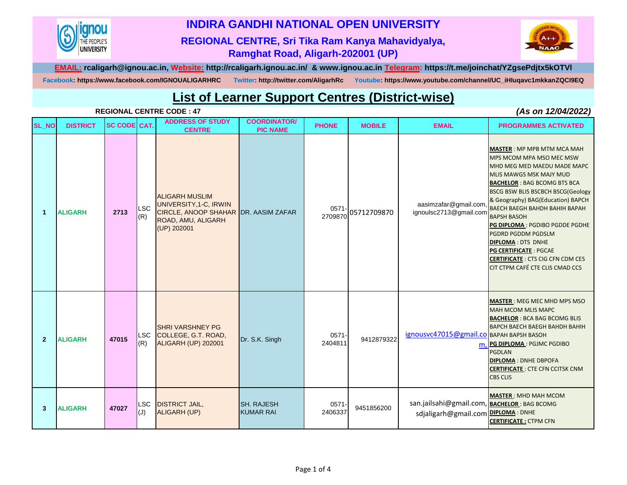

## **INDIRA GANDHI NATIONAL OPEN UNIVERSITY**

## **REGIONAL CENTRE, Sri Tika Ram Kanya Mahavidyalya, Ramghat Road, Aligarh-202001 (UP)**



**EMAIL: rcaligarh@ignou.ac.in, Website: http://rcaligarh.ignou.ac.in/ & www.ignou.ac.in Telegram: https://t.me/joinchat/YZgsePdjtx5kOTVl**

**Facebook: https://www.facebook.com/IGNOUALIGARHRC Twitter: http://twitter.com/AligarhRc Youtube: https://www.youtube.com/channel/UC\_iHIuqavc1mkkanZQCI9EQ**

## **List of Learner Support Centres (District-wise)**

|                      |                 |                     |                   | <b>REGIONAL CENTRE CODE: 47</b>                                                                                              |                                        | (As on 12/04/2022)  |               |                                                                                   |                                                                                                                                                                                                                                                                                                                                                                                                                                                                                                          |  |
|----------------------|-----------------|---------------------|-------------------|------------------------------------------------------------------------------------------------------------------------------|----------------------------------------|---------------------|---------------|-----------------------------------------------------------------------------------|----------------------------------------------------------------------------------------------------------------------------------------------------------------------------------------------------------------------------------------------------------------------------------------------------------------------------------------------------------------------------------------------------------------------------------------------------------------------------------------------------------|--|
| <b>SL_NO</b>         | <b>DISTRICT</b> | <b>SC CODE CAT.</b> |                   | <b>ADDRESS OF STUDY</b><br><b>CENTRE</b>                                                                                     | <b>COORDINATOR/</b><br><b>PIC NAME</b> | <b>PHONE</b>        | <b>MOBILE</b> | <b>EMAIL</b>                                                                      | <b>PROGRAMMES ACTIVATED</b>                                                                                                                                                                                                                                                                                                                                                                                                                                                                              |  |
| $\blacktriangleleft$ | <b>ALIGARH</b>  | 2713                | <b>LSC</b><br>(R) | <b>ALIGARH MUSLIM</b><br>UNIVERSITY, 1-C, IRWIN<br>CIRCLE, ANOOP SHAHAR DR. AASIM ZAFAR<br>ROAD, AMU, ALIGARH<br>(UP) 202001 |                                        | $0571 -$<br>2709870 | 05712709870   | aasimzafar@gmail.com<br>ignoulsc2713@gmail.com                                    | <b>MASTER: MP MPB MTM MCA MAH</b><br>MPS MCOM MPA MSO MEC MSW<br>MHD MEG MED MAEDU MADE MAPC<br>MLIS MAWGS MSK MAJY MUD<br><b>BACHELOR: BAG BCOMG BTS BCA</b><br>BSCG BSW BLIS BSCBCH BSCG(Geology<br>& Geography) BAG(Education) BAPCH<br><b>BAECH BAEGH BAHDH BAHIH BAPAH</b><br><b>BAPSH BASOH</b><br>PG DIPLOMA : PGDIBO PGDDE PGDHE<br>PGDRD PGDDM PGDSLM<br><b>DIPLOMA: DTS DNHE</b><br><b>PG CERTIFICATE: PGCAE</b><br><b>CERTIFICATE: CTS CIG CFN CDM CES</b><br>CIT CTPM CAFÉ CTE CLIS CMAD CCS |  |
| $\overline{2}$       | <b>ALIGARH</b>  | 47015               | <b>LSC</b><br>(R) | <b>SHRI VARSHNEY PG</b><br>COLLEGE, G.T. ROAD,<br>ALIGARH (UP) 202001                                                        | Dr. S.K. Singh                         | $0571 -$<br>2404811 | 9412879322    | ignousvc47015@gmail.co вдран варун вазон<br>m.                                    | <b>MASTER: MEG MEC MHD MPS MSO</b><br>MAH MCOM MLIS MAPC<br><b>BACHELOR: BCA BAG BCOMG BLIS</b><br><b>BAPCH BAECH BAEGH BAHDH BAHIH</b><br>PG DIPLOMA: PGJMC PGDIBO<br><b>PGDLAN</b><br><b>DIPLOMA: DNHE DBPOFA</b><br><b>CERTIFICATE: CTE CFN CCITSK CNM</b><br><b>CBS CLIS</b>                                                                                                                                                                                                                         |  |
| 3                    | <b>ALIGARH</b>  | 47027               | <b>LSC</b><br>(J) | <b>DISTRICT JAIL,</b><br><b>ALIGARH (UP)</b>                                                                                 | <b>SH. RAJESH</b><br><b>KUMAR RAI</b>  | $0571 -$<br>2406337 | 9451856200    | san.jailsahi@gmail.com, BACHELOR: BAG BCOMG<br>sdjaligarh@gmail.com DIPLOMA: DNHE | <b>MASTER: MHD MAH MCOM</b><br><b>CERTIFICATE: CTPM CFN</b>                                                                                                                                                                                                                                                                                                                                                                                                                                              |  |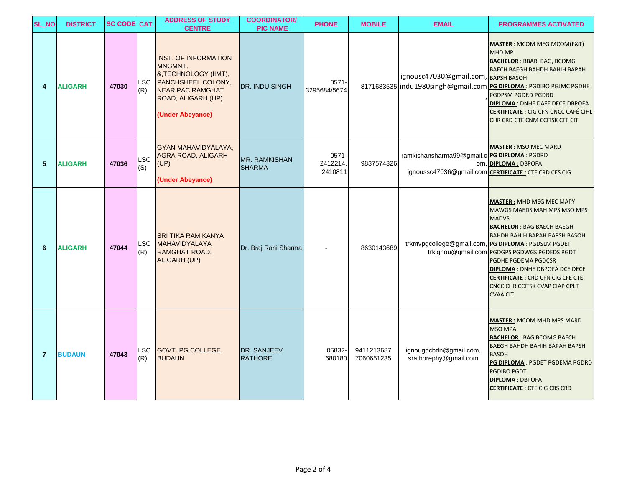| <b>SL_NO</b>   | <b>DISTRICT</b> | <b>SC CODE CAT.</b> |                   | <b>ADDRESS OF STUDY</b><br><b>CENTRE</b>                                                                                                                   | <b>COORDINATOR/</b><br><b>PIC NAME</b> | <b>PHONE</b>                    | <b>MOBILE</b>            | <b>EMAIL</b>                                                              | <b>PROGRAMMES ACTIVATED</b>                                                                                                                                                                                                                                                                                                                                                                                                      |
|----------------|-----------------|---------------------|-------------------|------------------------------------------------------------------------------------------------------------------------------------------------------------|----------------------------------------|---------------------------------|--------------------------|---------------------------------------------------------------------------|----------------------------------------------------------------------------------------------------------------------------------------------------------------------------------------------------------------------------------------------------------------------------------------------------------------------------------------------------------------------------------------------------------------------------------|
| 4              | <b>ALIGARH</b>  | 47030               | LSC<br>(R)        | <b>INST. OF INFORMATION</b><br>MNGMNT.<br>&, TECHNOLOGY (IIMT),<br>PANCHSHEEL COLONY,<br><b>NEAR PAC RAMGHAT</b><br>ROAD, ALIGARH (UP)<br>(Under Abeyance) | DR. INDU SINGH                         | $0571 -$<br>3295684/5674        |                          | ignousc47030@gmail.com, BAPSH BASOH<br>8171683535 indu1980singh@gmail.com | <b>MASTER: MCOM MEG MCOM(F&amp;T)</b><br>MHD MP<br><b>BACHELOR: BBAR, BAG, BCOMG</b><br><b>BAECH BAEGH BAHDH BAHIH BAPAH</b><br>PG DIPLOMA: PGDIBO PGJMC PGDHE<br>PGDPSM PGDRD PGDRD<br><b>DIPLOMA: DNHE DAFE DECE DBPOFA</b><br><b>CERTIFICATE : CIG CFN CNCC CAFÉ CIHL</b><br>CHR CRD CTE CNM CCITSK CFE CIT                                                                                                                   |
| 5              | <b>ALIGARH</b>  | 47036               | LSC<br>(S)        | <b>GYAN MAHAVIDYALAYA,</b><br><b>AGRA ROAD, ALIGARH</b><br>(UP)<br>(Under Abeyance)                                                                        | <b>MR. RAMKISHAN</b><br><b>SHARMA</b>  | $0571 -$<br>2412214,<br>2410811 | 9837574326               | ramkishansharma99@gmail.c PG DIPLOMA: PGDRD                               | <b>MASTER: MSO MEC MARD</b><br>om, DIPLOMA: DBPOFA<br>ignoussc47036@gmail.com CERTIFICATE: CTE CRD CES CIG                                                                                                                                                                                                                                                                                                                       |
| 6              | <b>ALIGARH</b>  | 47044               | LSC<br>(R)        | <b>SRI TIKA RAM KANYA</b><br><b>MAHAVIDYALAYA</b><br>RAMGHAT ROAD,<br><b>ALIGARH (UP)</b>                                                                  | Dr. Braj Rani Sharma                   |                                 | 8630143689               |                                                                           | <b>MASTER: MHD MEG MEC MAPY</b><br>MAWGS MAEDS MAH MPS MSO MPS<br><b>MADVS</b><br><b>BACHELOR: BAG BAECH BAEGH</b><br><b>BAHDH BAHIH BAPAH BAPSH BASOH</b><br>trkmvpgcollege@gmail.com, PG DIPLOMA: PGDSLM PGDET<br>trkignou@gmail.com PGDGPS PGDWGS PGDEDS PGDT<br>PGDHE PGDEMA PGDCSR<br><b>DIPLOMA: DNHE DBPOFA DCE DECE</b><br><b>CERTIFICATE : CRD CFN CIG CFE CTE</b><br>CNCC CHR CCITSK CVAP CIAP CPLT<br><b>CVAA CIT</b> |
| $\overline{7}$ | <b>BUDAUN</b>   | 47043               | <b>LSC</b><br>(R) | GOVT. PG COLLEGE,<br><b>BUDAUN</b>                                                                                                                         | DR. SANJEEV<br><b>RATHORE</b>          | 05832-<br>680180                | 9411213687<br>7060651235 | ignougdcbdn@gmail.com,<br>srathorephy@gmail.com                           | <b>MASTER: MCOM MHD MPS MARD</b><br><b>MSO MPA</b><br><b>BACHELOR: BAG BCOMG BAECH</b><br><b>BAEGH BAHDH BAHIH BAPAH BAPSH</b><br><b>BASOH</b><br>PG DIPLOMA : PGDET PGDEMA PGDRD<br><b>PGDIBO PGDT</b><br><b>DIPLOMA: DBPOFA</b><br><b>CERTIFICATE: CTE CIG CBS CRD</b>                                                                                                                                                         |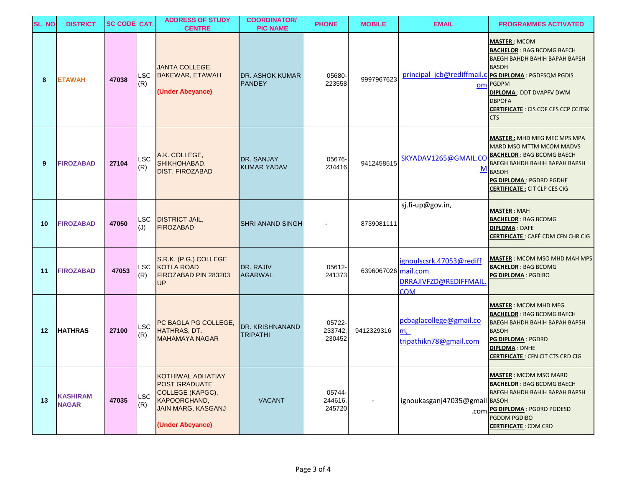| <b>SL_NO</b> | <b>DISTRICT</b>                 | <b>SC CODE CAT.</b> |                   | <b>ADDRESS OF STUDY</b><br><b>CENTRE</b>                                                                                              | <b>COORDINATOR/</b><br><b>PIC NAME</b>    | <b>PHONE</b>                | <b>MOBILE</b>       | <b>EMAIL</b>                                                    | <b>PROGRAMMES ACTIVATED</b>                                                                                                                                                                                                                                                                 |
|--------------|---------------------------------|---------------------|-------------------|---------------------------------------------------------------------------------------------------------------------------------------|-------------------------------------------|-----------------------------|---------------------|-----------------------------------------------------------------|---------------------------------------------------------------------------------------------------------------------------------------------------------------------------------------------------------------------------------------------------------------------------------------------|
| 8            | <b>ETAWAH</b>                   | 47038               | <b>LSC</b><br>(R) | <b>JANTA COLLEGE,</b><br><b>BAKEWAR, ETAWAH</b><br>(Under Abeyance)                                                                   | <b>DR. ASHOK KUMAR</b><br><b>PANDEY</b>   | 05680-<br>223558            | 9997967623          |                                                                 | <b>MASTER: MCOM</b><br><b>BACHELOR: BAG BCOMG BAECH</b><br>BAEGH BAHDH BAHIH BAPAH BAPSH<br><b>BASOH</b><br>principal_jcb@rediffmail.c PG DIPLOMA: PGDFSQM PGDIS<br>om PGDPM<br><b>DIPLOMA: DDT DVAPFV DWM</b><br><b>DBPOFA</b><br><b>CERTIFICATE: CIS COF CES CCP CCITSK</b><br><b>CTS</b> |
| 9            | <b>FIROZABAD</b>                | 27104               | <b>LSC</b><br>(R) | A.K. COLLEGE,<br>SHIKHOHABAD,<br><b>DIST. FIROZABAD</b>                                                                               | <b>DR. SANJAY</b><br><b>KUMAR YADAV</b>   | 05676-<br>234416            | 9412458515          | SKYADAV1265@GMAIL.CO<br><u>M</u>                                | <b>MASTER: MHD MEG MEC MPS MPA</b><br><b>MARD MSO MTTM MCOM MADVS</b><br><b>BACHELOR: BAG BCOMG BAECH</b><br>BAEGH BAHDH BAHIH BAPAH BAPSH<br><b>BASOH</b><br>PG DIPLOMA: PGDRD PGDHE<br><b>CERTIFICATE: CIT CLP CES CIG</b>                                                                |
| 10           | <b>FIROZABAD</b>                | 47050               | <b>LSC</b><br>(U) | <b>DISTRICT JAIL,</b><br><b>FIROZABAD</b>                                                                                             | <b>SHRI ANAND SINGH</b>                   |                             | 8739081111          | sj.fi-up@gov.in,                                                | <b>MASTER: MAH</b><br><b>BACHELOR: BAG BCOMG</b><br><b>DIPLOMA: DAFE</b><br><b>CERTIFICATE: CAFÉ CDM CFN CHR CIG</b>                                                                                                                                                                        |
| 11           | <b>FIROZABAD</b>                | 47053               | <b>LSC</b><br>(R) | S.R.K. (P.G.) COLLEGE<br><b>KOTLA ROAD</b><br>FIROZABAD PIN 283203<br><b>UP</b>                                                       | DR. RAJIV<br><b>AGARWAL</b>               | 05612-<br>241373            | 6396067026 mail.com | ignoulscsrk.47053@rediff<br>DRRAJIVFZD@REDIFFMAIL<br><b>COM</b> | <b>MASTER</b> : MCOM MSO MHD MAH MPS<br><b>BACHELOR: BAG BCOMG</b><br>PG DIPLOMA: PGDIBO                                                                                                                                                                                                    |
| 12           | <b>HATHRAS</b>                  | 27100               | LSC<br>(R)        | PC BAGLA PG COLLEGE,<br>HATHRAS, DT.<br><b>MAHAMAYA NAGAR</b>                                                                         | <b>DR. KRISHNANAND</b><br><b>TRIPATHI</b> | 05722-<br>233742,<br>230452 | 9412329316          | pcbaglacollege@gmail.co<br>m,<br>tripathikn78@gmail.com         | <b>MASTER: MCOM MHD MEG</b><br><b>BACHELOR: BAG BCOMG BAECH</b><br><b>BAEGH BAHDH BAHIH BAPAH BAPSH</b><br><b>BASOH</b><br>PG DIPLOMA: PGDRD<br><b>DIPLOMA: DNHE</b><br><b>CERTIFICATE: CFN CIT CTS CRD CIG</b>                                                                             |
| 13           | <b>KASHIRAM</b><br><b>NAGAR</b> | 47035               | <b>LSC</b><br>(R) | <b>KOTHIWAL ADHATIAY</b><br><b>POST GRADUATE</b><br>COLLEGE (KAPGC),<br>KAPOORCHAND,<br><b>JAIN MARG, KASGANJ</b><br>(Under Abeyance) | <b>VACANT</b>                             | 05744-<br>244616,<br>245720 |                     | ignoukasganj47035@gmail BASOH                                   | <b>MASTER: MCOM MSO MARD</b><br><b>BACHELOR: BAG BCOMG BAECH</b><br>BAEGH BAHDH BAHIH BAPAH BAPSH<br>.com PG DIPLOMA : PGDRD PGDESD<br><b>PGDDM PGDIBO</b><br><b>CERTIFICATE: CDM CRD</b>                                                                                                   |